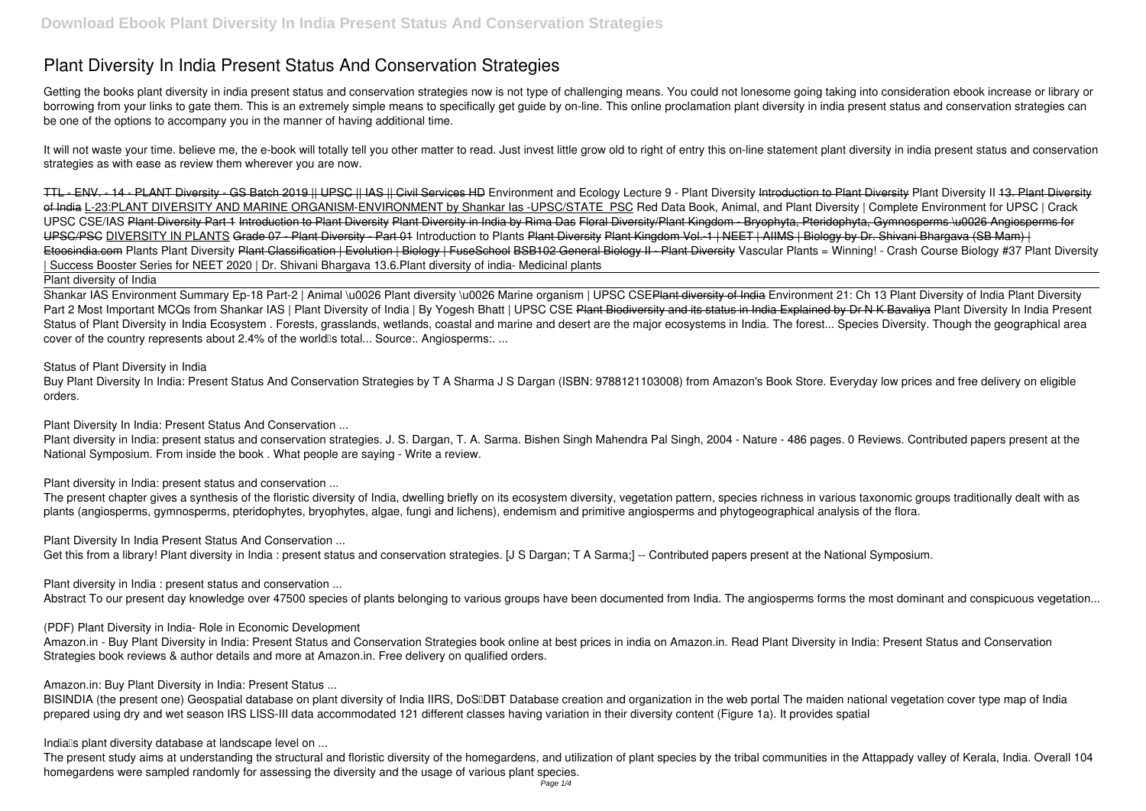# **Plant Diversity In India Present Status And Conservation Strategies**

Getting the books **plant diversity in india present status and conservation strategies** now is not type of challenging means. You could not lonesome going taking into consideration ebook increase or library or borrowing from your links to gate them. This is an extremely simple means to specifically get guide by on-line. This online proclamation plant diversity in india present status and conservation strategies can be one of the options to accompany you in the manner of having additional time.

It will not waste your time, believe me, the e-book will totally tell you other matter to read. Just invest little grow old to right of entry this on-line statement plant diversity in india present status and conservation **strategies** as with ease as review them wherever you are now.

TTL - ENV. - 14 - PLANT Diversity - GS Batch 2019 || UPSC || IAS || Civil Services HD *Environment and Ecology Lecture 9 - Plant Diversity* Introduction to Plant Diversity *Plant Diversity II* 13. Plant Diversity of India L-23:PLANT DIVERSITY AND MARINE ORGANISM-ENVIRONMENT by Shankar las -UPSC/STATE\_PSC Red Data Book, Animal, and Plant Diversity | Complete Environment for UPSC | Crack UPSC CSE/IAS Plant Diversity Part 1 Introduction to Plant Diversity Plant Diversity in India by Rima Das Floral Diversity/Plant Kingdom - Bryophyta, Pteridophyta, Gymnosperms \u0026 Angiosperms for UPSC/PSC DIVERSITY IN PLANTS Grade 07 - Plant Diversity - Part 01 Introduction to Plants Plant Diversity Plant Kingdom Vol.-1 | NEET | AIIMS | Biology by Dr. Shivani Bhargava (SB Mam) | Etoosindia.com Plants Plant Diversity Plant Classification | Evolution | Biology | FuseSchool BSB102 General Biology || - Plant Diversity Vascular Plants = Winning! - Crash Course Biology #37 Plant Diversity **| Success Booster Series for NEET 2020 | Dr. Shivani Bhargava** *13.6.Plant diversity of india- Medicinal plants*

The present chapter gives a synthesis of the floristic diversity of India, dwelling briefly on its ecosystem diversity, vegetation pattern, species richness in various taxonomic groups traditionally dealt with as plants (angiosperms, gymnosperms, pteridophytes, bryophytes, algae, fungi and lichens), endemism and primitive angiosperms and phytogeographical analysis of the flora.

Plant diversity of India

Shankar IAS Environment Summary Ep-18 Part-2 | Animal \u0026 Plant diversity \u0026 Marine organism | UPSC CSE<del>Plant diversity of India</del> Environment 21: Ch 13 Plant Diversity of India Plant Diversity Part 2 Most Important MCQs from Shankar IAS | Plant Diversity of India | By Yogesh Bhatt | UPSC CSE Plant Biodiversity and its status in India Explained by Dr N K Bavaliva Plant Diversity In India Present Status of Plant Diversity in India Ecosystem . Forests, grasslands, wetlands, coastal and marine and desert are the major ecosystems in India. The forest... Species Diversity. Though the geographical area cover of the country represents about 2.4% of the world<sup>®</sup>s total... Source:. Angiosperms:. ...

BISINDIA (the present one) Geospatial database on plant diversity of India IIRS, DoSIDBT Database creation and organization in the web portal The maiden national vegetation cover type map of India prepared using dry and wet season IRS LISS-III data accommodated 121 different classes having variation in their diversity content (Figure 1a). It provides spatial

The present study aims at understanding the structural and floristic diversity of the homegardens, and utilization of plant species by the tribal communities in the Attappady valley of Kerala, India. Overall 104 homegardens were sampled randomly for assessing the diversity and the usage of various plant species.

*Status of Plant Diversity in India*

Buy Plant Diversity In India: Present Status And Conservation Strategies by T A Sharma J S Dargan (ISBN: 9788121103008) from Amazon's Book Store. Everyday low prices and free delivery on eligible orders.

*Plant Diversity In India: Present Status And Conservation ...*

Plant diversity in India: present status and conservation strategies. J. S. Dargan, T. A. Sarma. Bishen Singh Mahendra Pal Singh, 2004 - Nature - 486 pages. 0 Reviews. Contributed papers present at the National Symposium. From inside the book . What people are saying - Write a review.

*Plant diversity in India: present status and conservation ...*

*Plant Diversity In India Present Status And Conservation ...*

Get this from a library! Plant diversity in India : present status and conservation strategies. [J S Dargan; T A Sarma;] -- Contributed papers present at the National Symposium.

*Plant diversity in India : present status and conservation ...*

Abstract To our present day knowledge over 47500 species of plants belonging to various groups have been documented from India. The angiosperms forms the most dominant and conspicuous vegetation...

*(PDF) Plant Diversity in India- Role in Economic Development*

Amazon.in - Buy Plant Diversity in India: Present Status and Conservation Strategies book online at best prices in india on Amazon.in. Read Plant Diversity in India: Present Status and Conservation Strategies book reviews & author details and more at Amazon.in. Free delivery on qualified orders.

*Amazon.in: Buy Plant Diversity in India: Present Status ...*

*India's plant diversity database at landscape level on ...*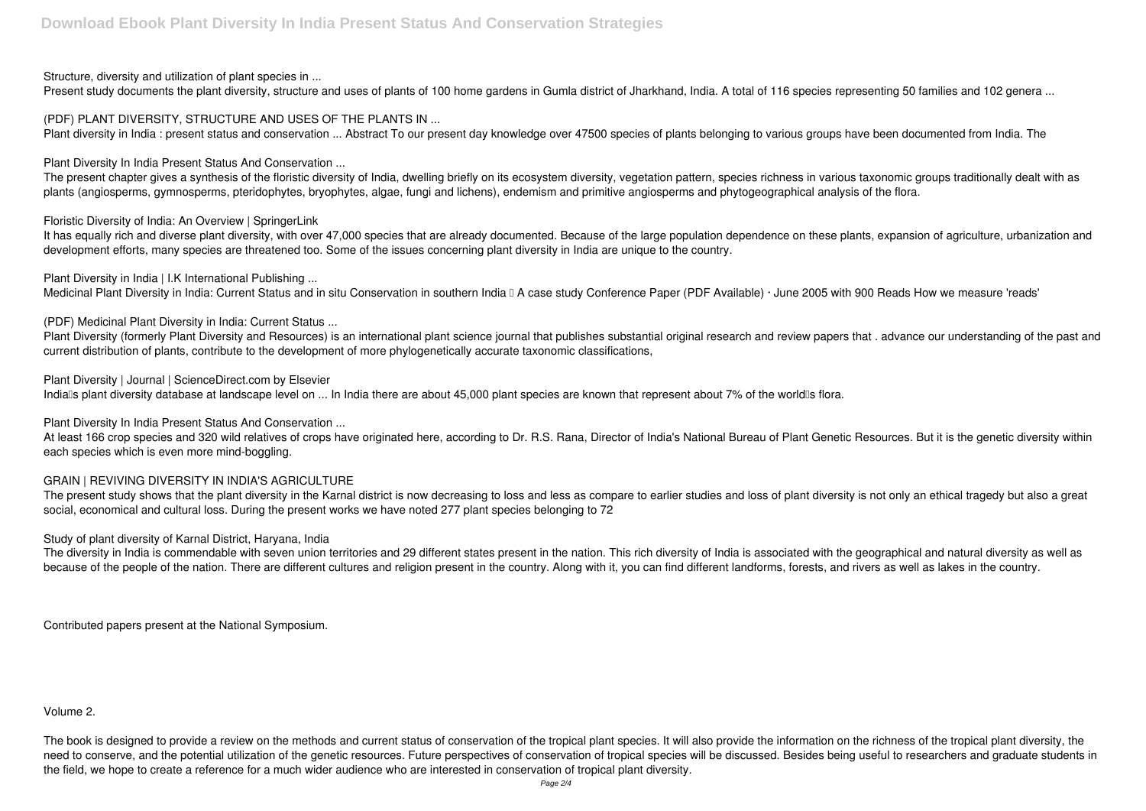*Structure, diversity and utilization of plant species in ...*

Present study documents the plant diversity, structure and uses of plants of 100 home gardens in Gumla district of Jharkhand, India. A total of 116 species representing 50 families and 102 genera ...

*(PDF) PLANT DIVERSITY, STRUCTURE AND USES OF THE PLANTS IN ...*

Plant diversity in India : present status and conservation ... Abstract To our present day knowledge over 47500 species of plants belonging to various groups have been documented from India. The

The present chapter gives a synthesis of the floristic diversity of India, dwelling briefly on its ecosystem diversity, vegetation pattern, species richness in various taxonomic groups traditionally dealt with as plants (angiosperms, gymnosperms, pteridophytes, bryophytes, algae, fungi and lichens), endemism and primitive angiosperms and phytogeographical analysis of the flora.

*Plant Diversity In India Present Status And Conservation ...*

*Plant Diversity in India | I.K International Publishing ...* Medicinal Plant Diversity in India: Current Status and in situ Conservation in southern India II A case study Conference Paper (PDF Available) · June 2005 with 900 Reads How we measure 'reads'

Plant Diversity (formerly Plant Diversity and Resources) is an international plant science journal that publishes substantial original research and review papers that . advance our understanding of the past and current distribution of plants, contribute to the development of more phylogenetically accurate taxonomic classifications,

*Floristic Diversity of India: An Overview | SpringerLink*

It has equally rich and diverse plant diversity, with over 47,000 species that are already documented. Because of the large population dependence on these plants, expansion of agriculture, urbanization and development efforts, many species are threatened too. Some of the issues concerning plant diversity in India are unique to the country.

At least 166 crop species and 320 wild relatives of crops have originated here, according to Dr. R.S. Rana, Director of India's National Bureau of Plant Genetic Resources. But it is the genetic diversity within each species which is even more mind-boggling.

The present study shows that the plant diversity in the Karnal district is now decreasing to loss and less as compare to earlier studies and loss of plant diversity is not only an ethical tragedy but also a great social, economical and cultural loss. During the present works we have noted 277 plant species belonging to 72

*(PDF) Medicinal Plant Diversity in India: Current Status ...*

The diversity in India is commendable with seven union territories and 29 different states present in the nation. This rich diversity of India is associated with the geographical and natural diversity as well as because of the people of the nation. There are different cultures and religion present in the country. Along with it, you can find different landforms, forests, and rivers as well as lakes in the country.

*Plant Diversity | Journal | ScienceDirect.com by Elsevier*

Indialls plant diversity database at landscape level on ... In India there are about 45,000 plant species are known that represent about 7% of the worldlls flora.

*Plant Diversity In India Present Status And Conservation ...*

## *GRAIN | REVIVING DIVERSITY IN INDIA'S AGRICULTURE*

*Study of plant diversity of Karnal District, Haryana, India*

Contributed papers present at the National Symposium.

### Volume 2.

The book is designed to provide a review on the methods and current status of conservation of the tropical plant species. It will also provide the information on the richness of the tropical plant diversity, the need to conserve, and the potential utilization of the genetic resources. Future perspectives of conservation of tropical species will be discussed. Besides being useful to researchers and graduate students in the field, we hope to create a reference for a much wider audience who are interested in conservation of tropical plant diversity.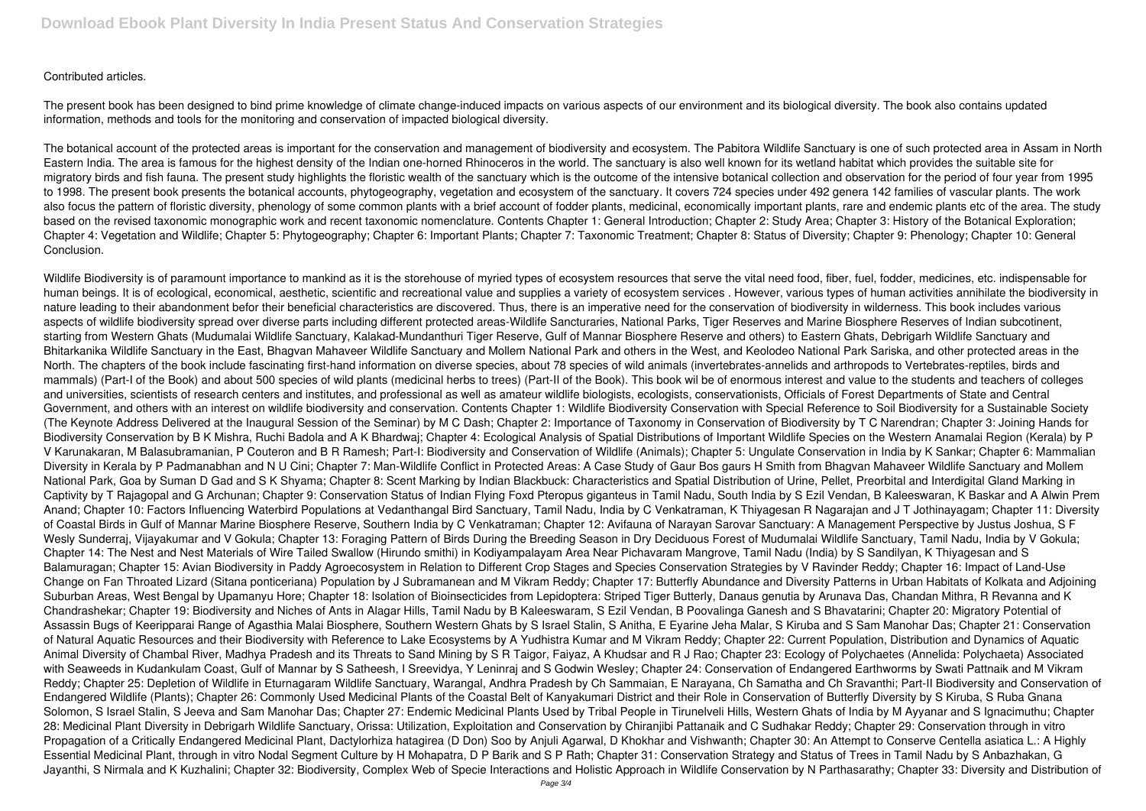### Contributed articles.

The present book has been designed to bind prime knowledge of climate change-induced impacts on various aspects of our environment and its biological diversity. The book also contains updated information, methods and tools for the monitoring and conservation of impacted biological diversity.

The botanical account of the protected areas is important for the conservation and management of biodiversity and ecosystem. The Pabitora Wildlife Sanctuary is one of such protected area in Assam in North Eastern India. The area is famous for the highest density of the Indian one-horned Rhinoceros in the world. The sanctuary is also well known for its wetland habitat which provides the suitable site for migratory birds and fish fauna. The present study highlights the floristic wealth of the sanctuary which is the outcome of the intensive botanical collection and observation for the period of four year from 1995 to 1998. The present book presents the botanical accounts, phytogeography, vegetation and ecosystem of the sanctuary. It covers 724 species under 492 genera 142 families of vascular plants. The work also focus the pattern of floristic diversity, phenology of some common plants with a brief account of fodder plants, medicinal, economically important plants, rare and endemic plants etc of the area. The study based on the revised taxonomic monographic work and recent taxonomic nomenclature. Contents Chapter 1: General Introduction; Chapter 2: Study Area; Chapter 3: History of the Botanical Exploration; Chapter 4: Vegetation and Wildlife; Chapter 5: Phytogeography; Chapter 6: Important Plants; Chapter 7: Taxonomic Treatment; Chapter 8: Status of Diversity; Chapter 9: Phenology; Chapter 10: General Conclusion.

Wildlife Biodiversity is of paramount importance to mankind as it is the storehouse of myried types of ecosystem resources that serve the vital need food, fiber, fuel, fodder, medicines, etc. indispensable for human beings. It is of ecological, economical, aesthetic, scientific and recreational value and supplies a variety of ecosystem services . However, various types of human activities annihilate the biodiversity in nature leading to their abandonment befor their beneficial characteristics are discovered. Thus, there is an imperative need for the conservation of biodiversity in wilderness. This book includes various aspects of wildlife biodiversity spread over diverse parts including different protected areas-Wildlife Sancturaries, National Parks, Tiger Reserves and Marine Biosphere Reserves of Indian subcotinent, starting from Western Ghats (Mudumalai Wildlife Sanctuary, Kalakad-Mundanthuri Tiger Reserve, Gulf of Mannar Biosphere Reserve and others) to Eastern Ghats, Debrigarh Wildlife Sanctuary and Bhitarkanika Wildlife Sanctuary in the East, Bhagvan Mahaveer Wildlife Sanctuary and Mollem National Park and others in the West, and Keolodeo National Park Sariska, and other protected areas in the North. The chapters of the book include fascinating first-hand information on diverse species, about 78 species of wild animals (invertebrates-annelids and arthropods to Vertebrates-reptiles, birds and mammals) (Part-I of the Book) and about 500 species of wild plants (medicinal herbs to trees) (Part-II of the Book). This book wil be of enormous interest and value to the students and teachers of colleges and universities, scientists of research centers and institutes, and professional as well as amateur wildlife biologists, ecologists, conservationists, Officials of Forest Departments of State and Central Government, and others with an interest on wildlife biodiversity and conservation. Contents Chapter 1: Wildlife Biodiversity Conservation with Special Reference to Soil Biodiversity for a Sustainable Society (The Keynote Address Delivered at the Inaugural Session of the Seminar) by M C Dash; Chapter 2: Importance of Taxonomy in Conservation of Biodiversity by T C Narendran; Chapter 3: Joining Hands for Biodiversity Conservation by B K Mishra, Ruchi Badola and A K Bhardwaj; Chapter 4: Ecological Analysis of Spatial Distributions of Important Wildlife Species on the Western Anamalai Region (Kerala) by P V Karunakaran, M Balasubramanian, P Couteron and B R Ramesh; Part-I: Biodiversity and Conservation of Wildlife (Animals); Chapter 5: Ungulate Conservation in India by K Sankar; Chapter 6: Mammalian Diversity in Kerala by P Padmanabhan and N U Cini; Chapter 7: Man-Wildlife Conflict in Protected Areas: A Case Study of Gaur Bos gaurs H Smith from Bhagvan Mahaveer Wildlife Sanctuary and Mollem National Park, Goa by Suman D Gad and S K Shyama; Chapter 8: Scent Marking by Indian Blackbuck: Characteristics and Spatial Distribution of Urine, Pellet, Preorbital and Interdigital Gland Marking in Captivity by T Rajagopal and G Archunan; Chapter 9: Conservation Status of Indian Flying Foxd Pteropus giganteus in Tamil Nadu, South India by S Ezil Vendan, B Kaleeswaran, K Baskar and A Alwin Prem Anand; Chapter 10: Factors Influencing Waterbird Populations at Vedanthangal Bird Sanctuary, Tamil Nadu, India by C Venkatraman, K Thiyagesan R Nagarajan and J T Jothinayagam; Chapter 11: Diversity of Coastal Birds in Gulf of Mannar Marine Biosphere Reserve, Southern India by C Venkatraman; Chapter 12: Avifauna of Narayan Sarovar Sanctuary: A Management Perspective by Justus Joshua, S F Wesly Sunderraj, Vijayakumar and V Gokula; Chapter 13: Foraging Pattern of Birds During the Breeding Season in Dry Deciduous Forest of Mudumalai Wildlife Sanctuary, Tamil Nadu, India by V Gokula; Chapter 14: The Nest and Nest Materials of Wire Tailed Swallow (Hirundo smithi) in Kodiyampalayam Area Near Pichavaram Mangrove, Tamil Nadu (India) by S Sandilyan, K Thiyagesan and S Balamuragan; Chapter 15: Avian Biodiversity in Paddy Agroecosystem in Relation to Different Crop Stages and Species Conservation Strategies by V Ravinder Reddy; Chapter 16: Impact of Land-Use Change on Fan Throated Lizard (Sitana ponticeriana) Population by J Subramanean and M Vikram Reddy; Chapter 17: Butterfly Abundance and Diversity Patterns in Urban Habitats of Kolkata and Adjoining Suburban Areas, West Bengal by Upamanyu Hore; Chapter 18: Isolation of Bioinsecticides from Lepidoptera: Striped Tiger Butterly, Danaus genutia by Arunava Das, Chandan Mithra, R Revanna and K Chandrashekar; Chapter 19: Biodiversity and Niches of Ants in Alagar Hills, Tamil Nadu by B Kaleeswaram, S Ezil Vendan, B Poovalinga Ganesh and S Bhavatarini; Chapter 20: Migratory Potential of Assassin Bugs of Keeripparai Range of Agasthia Malai Biosphere, Southern Western Ghats by S Israel Stalin, S Anitha, E Eyarine Jeha Malar, S Kiruba and S Sam Manohar Das; Chapter 21: Conservation of Natural Aquatic Resources and their Biodiversity with Reference to Lake Ecosystems by A Yudhistra Kumar and M Vikram Reddy; Chapter 22: Current Population, Distribution and Dynamics of Aquatic Animal Diversity of Chambal River, Madhya Pradesh and its Threats to Sand Mining by S R Taigor, Faiyaz, A Khudsar and R J Rao; Chapter 23: Ecology of Polychaetes (Annelida: Polychaeta) Associated with Seaweeds in Kudankulam Coast, Gulf of Mannar by S Satheesh, I Sreevidya, Y Leninraj and S Godwin Wesley; Chapter 24: Conservation of Endangered Earthworms by Swati Pattnaik and M Vikram Reddy; Chapter 25: Depletion of Wildlife in Eturnagaram Wildlife Sanctuary, Warangal, Andhra Pradesh by Ch Sammaian, E Narayana, Ch Samatha and Ch Sravanthi; Part-II Biodiversity and Conservation of Endangered Wildlife (Plants); Chapter 26: Commonly Used Medicinal Plants of the Coastal Belt of Kanyakumari District and their Role in Conservation of Butterfly Diversity by S Kiruba, S Ruba Gnana Solomon, S Israel Stalin, S Jeeva and Sam Manohar Das; Chapter 27: Endemic Medicinal Plants Used by Tribal People in Tirunelveli Hills, Western Ghats of India by M Ayyanar and S Ignacimuthu; Chapter 28: Medicinal Plant Diversity in Debrigarh Wildlife Sanctuary, Orissa: Utilization, Exploitation and Conservation by Chiranjibi Pattanaik and C Sudhakar Reddy; Chapter 29: Conservation through in vitro Propagation of a Critically Endangered Medicinal Plant, Dactylorhiza hatagirea (D Don) Soo by Anjuli Agarwal, D Khokhar and Vishwanth; Chapter 30: An Attempt to Conserve Centella asiatica L.: A Highly Essential Medicinal Plant, through in vitro Nodal Segment Culture by H Mohapatra, D P Barik and S P Rath; Chapter 31: Conservation Strategy and Status of Trees in Tamil Nadu by S Anbazhakan, G Jayanthi, S Nirmala and K Kuzhalini; Chapter 32: Biodiversity, Complex Web of Specie Interactions and Holistic Approach in Wildlife Conservation by N Parthasarathy; Chapter 33: Diversity and Distribution of